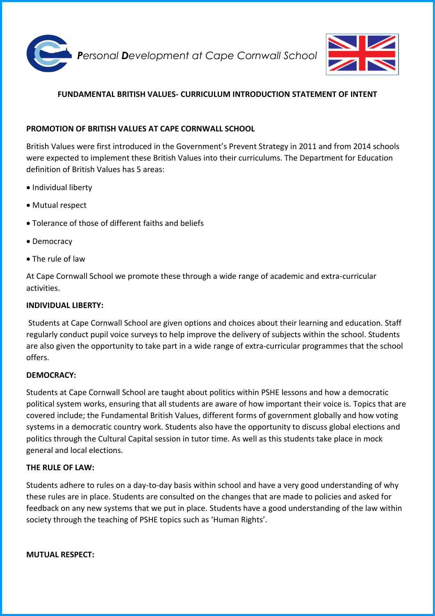



# **FUNDAMENTAL BRITISH VALUES- CURRICULUM INTRODUCTION STATEMENT OF INTENT**

### **PROMOTION OF BRITISH VALUES AT CAPE CORNWALL SCHOOL**

British Values were first introduced in the Government's Prevent Strategy in 2011 and from 2014 schools were expected to implement these British Values into their curriculums. The Department for Education definition of British Values has 5 areas:

- Individual liberty
- Mutual respect
- Tolerance of those of different faiths and beliefs
- Democracy
- The rule of law

At Cape Cornwall School we promote these through a wide range of academic and extra-curricular activities.

#### **INDIVIDUAL LIBERTY:**

Students at Cape Cornwall School are given options and choices about their learning and education. Staff regularly conduct pupil voice surveys to help improve the delivery of subjects within the school. Students are also given the opportunity to take part in a wide range of extra-curricular programmes that the school offers.

#### **DEMOCRACY:**

Students at Cape Cornwall School are taught about politics within PSHE lessons and how a democratic political system works, ensuring that all students are aware of how important their voice is. Topics that are covered include; the Fundamental British Values, different forms of government globally and how voting systems in a democratic country work. Students also have the opportunity to discuss global elections and politics through the Cultural Capital session in tutor time. As well as this students take place in mock general and local elections.

#### **THE RULE OF LAW:**

Students adhere to rules on a day-to-day basis within school and have a very good understanding of why these rules are in place. Students are consulted on the changes that are made to policies and asked for feedback on any new systems that we put in place. Students have a good understanding of the law within society through the teaching of PSHE topics such as 'Human Rights'.

**MUTUAL RESPECT:**